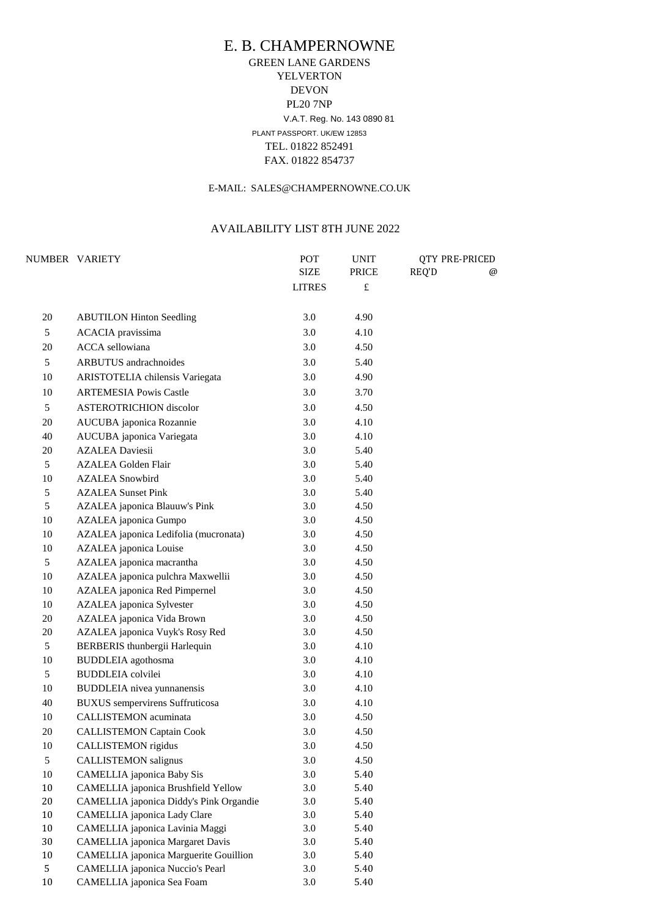# E. B. CHAMPERNOWNE GREEN LANE GARDENS YELVERTON DEVON PL20 7NP V.A.T. Reg. No. 143 0890 81 PLANT PASSPORT. UK/EW 12853 TEL. 01822 852491 FAX. 01822 854737

#### E-MAIL: SALES@CHAMPERNOWNE.CO.UK

#### AVAILABILITY LIST 8TH JUNE 2022

|         | NUMBER VARIETY                                                        | POT           | <b>UNIT</b><br><b>PRICE</b> | <b>QTY PRE-PRICED</b> |   |
|---------|-----------------------------------------------------------------------|---------------|-----------------------------|-----------------------|---|
|         |                                                                       | <b>SIZE</b>   |                             | REQ'D                 | @ |
|         |                                                                       | <b>LITRES</b> | $\pounds$                   |                       |   |
| 20      | <b>ABUTILON Hinton Seedling</b>                                       | 3.0           | 4.90                        |                       |   |
| 5       | <b>ACACIA</b> pravissima                                              | 3.0           | 4.10                        |                       |   |
| 20      | <b>ACCA</b> sellowiana                                                | 3.0           | 4.50                        |                       |   |
| 5       | <b>ARBUTUS</b> andrachnoides                                          | 3.0           | 5.40                        |                       |   |
| 10      | <b>ARISTOTELIA</b> chilensis Variegata                                | 3.0           | 4.90                        |                       |   |
| 10      | <b>ARTEMESIA Powis Castle</b>                                         | 3.0           | 3.70                        |                       |   |
| 5       | <b>ASTEROTRICHION</b> discolor                                        | 3.0           | 4.50                        |                       |   |
| 20      | <b>AUCUBA</b> japonica Rozannie                                       | 3.0           | 4.10                        |                       |   |
| 40      | AUCUBA japonica Variegata                                             | 3.0           | 4.10                        |                       |   |
| 20      | <b>AZALEA Daviesii</b>                                                | 3.0           | 5.40                        |                       |   |
| 5       | <b>AZALEA Golden Flair</b>                                            | 3.0           | 5.40                        |                       |   |
| 10      | <b>AZALEA</b> Snowbird                                                | 3.0           | 5.40                        |                       |   |
| 5       | <b>AZALEA Sunset Pink</b>                                             | 3.0           | 5.40                        |                       |   |
| 5       | <b>AZALEA</b> japonica Blauuw's Pink                                  | 3.0           | 4.50                        |                       |   |
| 10      | <b>AZALEA</b> japonica Gumpo                                          | 3.0           | 4.50                        |                       |   |
| 10      | AZALEA japonica Ledifolia (mucronata)                                 | 3.0           | 4.50                        |                       |   |
| 10      | <b>AZALEA</b> japonica Louise                                         | 3.0           | 4.50                        |                       |   |
| 5       | AZALEA japonica macrantha                                             | 3.0           | 4.50                        |                       |   |
| 10      | AZALEA japonica pulchra Maxwellii                                     | 3.0           | 4.50                        |                       |   |
| 10      | <b>AZALEA</b> japonica Red Pimpernel                                  | 3.0           | 4.50                        |                       |   |
| 10      | <b>AZALEA</b> japonica Sylvester                                      | 3.0           | 4.50                        |                       |   |
| 20      | AZALEA japonica Vida Brown                                            | 3.0           | 4.50                        |                       |   |
| 20      | AZALEA japonica Vuyk's Rosy Red                                       | 3.0           | 4.50                        |                       |   |
| 5       | <b>BERBERIS</b> thunbergii Harlequin                                  | 3.0           | 4.10                        |                       |   |
| 10      | <b>BUDDLEIA</b> agothosma                                             | 3.0           | 4.10                        |                       |   |
| 5       | <b>BUDDLEIA</b> colvilei                                              | 3.0           | 4.10                        |                       |   |
| 10      | <b>BUDDLEIA</b> nivea yunnanensis                                     | 3.0           | 4.10                        |                       |   |
| 40      | <b>BUXUS</b> sempervirens Suffruticosa                                | 3.0           | 4.10                        |                       |   |
| 10      | <b>CALLISTEMON</b> acuminata                                          | 3.0           | 4.50                        |                       |   |
| 20      | <b>CALLISTEMON Captain Cook</b>                                       | 3.0           | 4.50                        |                       |   |
| 10      | <b>CALLISTEMON</b> rigidus                                            | 3.0           | 4.50                        |                       |   |
| 5       | <b>CALLISTEMON</b> salignus                                           | 3.0           | 4.50                        |                       |   |
| 10      | <b>CAMELLIA</b> japonica Baby Sis                                     | 3.0           | 5.40                        |                       |   |
| 10      | <b>CAMELLIA</b> japonica Brushfield Yellow                            | 3.0           | 5.40                        |                       |   |
| 20      | <b>CAMELLIA</b> japonica Diddy's Pink Organdie                        | 3.0           | 5.40                        |                       |   |
| 10      | <b>CAMELLIA</b> japonica Lady Clare                                   | 3.0           | 5.40                        |                       |   |
| 10      | CAMELLIA japonica Lavinia Maggi                                       | 3.0           | 5.40                        |                       |   |
| 30      | <b>CAMELLIA</b> japonica Margaret Davis                               | 3.0           | 5.40                        |                       |   |
| 10<br>5 | <b>CAMELLIA</b> japonica Marguerite Gouillion                         | 3.0<br>3.0    | 5.40<br>5.40                |                       |   |
| 10      | <b>CAMELLIA</b> japonica Nuccio's Pearl<br>CAMELLIA japonica Sea Foam | 3.0           | 5.40                        |                       |   |
|         |                                                                       |               |                             |                       |   |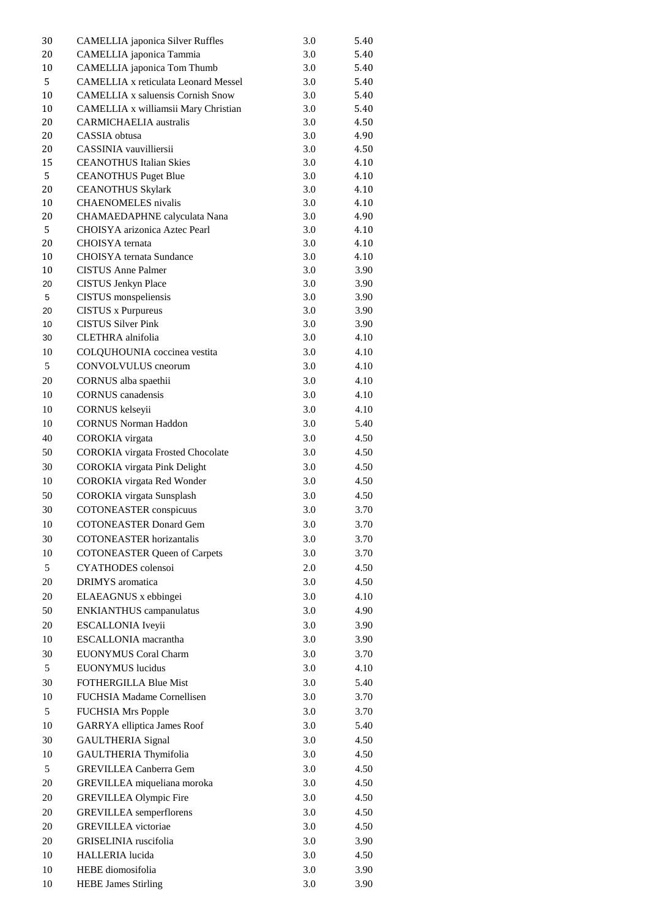| 30 | <b>CAMELLIA</b> japonica Silver Ruffles     | 3.0 | 5.40 |
|----|---------------------------------------------|-----|------|
| 20 | <b>CAMELLIA</b> japonica Tammia             | 3.0 | 5.40 |
| 10 | <b>CAMELLIA</b> japonica Tom Thumb          | 3.0 | 5.40 |
| 5  | <b>CAMELLIA x reticulata Leonard Messel</b> | 3.0 | 5.40 |
| 10 | <b>CAMELLIA x saluensis Cornish Snow</b>    | 3.0 | 5.40 |
| 10 | CAMELLIA x williamsii Mary Christian        | 3.0 | 5.40 |
| 20 | <b>CARMICHAELIA</b> australis               | 3.0 | 4.50 |
| 20 | CASSIA obtusa                               | 3.0 | 4.90 |
| 20 | <b>CASSINIA</b> vauvilliersii               | 3.0 | 4.50 |
| 15 | <b>CEANOTHUS Italian Skies</b>              | 3.0 | 4.10 |
| 5  | <b>CEANOTHUS Puget Blue</b>                 | 3.0 | 4.10 |
| 20 | <b>CEANOTHUS Skylark</b>                    | 3.0 | 4.10 |
| 10 | <b>CHAENOMELES</b> nivalis                  | 3.0 | 4.10 |
| 20 |                                             | 3.0 | 4.90 |
| 5  | <b>CHAMAEDAPHNE</b> calyculata Nana         |     |      |
|    | <b>CHOISYA</b> arizonica Aztec Pearl        | 3.0 | 4.10 |
| 20 | <b>CHOISYA</b> ternata                      | 3.0 | 4.10 |
| 10 | <b>CHOISYA</b> ternata Sundance             | 3.0 | 4.10 |
| 10 | <b>CISTUS Anne Palmer</b>                   | 3.0 | 3.90 |
| 20 | <b>CISTUS Jenkyn Place</b>                  | 3.0 | 3.90 |
| 5  | <b>CISTUS</b> monspeliensis                 | 3.0 | 3.90 |
| 20 | <b>CISTUS</b> x Purpureus                   | 3.0 | 3.90 |
| 10 | <b>CISTUS Silver Pink</b>                   | 3.0 | 3.90 |
| 30 | <b>CLETHRA</b> alnifolia                    | 3.0 | 4.10 |
| 10 | COLQUHOUNIA coccinea vestita                | 3.0 | 4.10 |
| 5  | <b>CONVOLVULUS</b> cneorum                  | 3.0 | 4.10 |
| 20 | CORNUS alba spaethii                        | 3.0 | 4.10 |
| 10 | <b>CORNUS</b> canadensis                    | 3.0 | 4.10 |
| 10 | <b>CORNUS</b> kelseyii                      | 3.0 | 4.10 |
| 10 | <b>CORNUS Norman Haddon</b>                 | 3.0 | 5.40 |
| 40 |                                             | 3.0 | 4.50 |
|    | <b>COROKIA</b> virgata                      |     |      |
| 50 | <b>COROKIA</b> virgata Frosted Chocolate    | 3.0 | 4.50 |
| 30 | <b>COROKIA</b> virgata Pink Delight         | 3.0 | 4.50 |
| 10 | <b>COROKIA</b> virgata Red Wonder           | 3.0 | 4.50 |
| 50 | <b>COROKIA</b> virgata Sunsplash            | 3.0 | 4.50 |
| 30 | <b>COTONEASTER</b> conspicuus               | 3.0 | 3.70 |
| 10 | <b>COTONEASTER Donard Gem</b>               | 3.0 | 3.70 |
| 30 | <b>COTONEASTER</b> horizantalis             | 3.0 | 3.70 |
| 10 | <b>COTONEASTER Queen of Carpets</b>         | 3.0 | 3.70 |
| 5  | <b>CYATHODES</b> colensoi                   | 2.0 | 4.50 |
| 20 | <b>DRIMYS</b> aromatica                     | 3.0 | 4.50 |
|    |                                             |     |      |
| 20 | ELAEAGNUS x ebbingei                        | 3.0 | 4.10 |
| 50 | <b>ENKIANTHUS</b> campanulatus              | 3.0 | 4.90 |
| 20 | <b>ESCALLONIA</b> Iveyii                    | 3.0 | 3.90 |
| 10 | <b>ESCALLONIA</b> macrantha                 | 3.0 | 3.90 |
| 30 | <b>EUONYMUS Coral Charm</b>                 | 3.0 | 3.70 |
| 5  | <b>EUONYMUS</b> lucidus                     | 3.0 | 4.10 |
| 30 | <b>FOTHERGILLA Blue Mist</b>                | 3.0 | 5.40 |
| 10 | <b>FUCHSIA Madame Cornellisen</b>           | 3.0 | 3.70 |
| 5  | <b>FUCHSIA Mrs Popple</b>                   | 3.0 | 3.70 |
| 10 | <b>GARRYA</b> elliptica James Roof          | 3.0 | 5.40 |
| 30 |                                             | 3.0 | 4.50 |
|    | <b>GAULTHERIA Signal</b>                    |     |      |
| 10 | GAULTHERIA Thymifolia                       | 3.0 | 4.50 |
| 5  | <b>GREVILLEA Canberra Gem</b>               | 3.0 | 4.50 |
| 20 | GREVILLEA miqueliana moroka                 | 3.0 | 4.50 |
| 20 | <b>GREVILLEA Olympic Fire</b>               | 3.0 | 4.50 |
| 20 | <b>GREVILLEA</b> semperflorens              | 3.0 | 4.50 |
| 20 | <b>GREVILLEA</b> victoriae                  | 3.0 | 4.50 |
| 20 | <b>GRISELINIA</b> ruscifolia                | 3.0 | 3.90 |
| 10 | <b>HALLERIA</b> lucida                      | 3.0 | 4.50 |
| 10 | HEBE diomosifolia                           | 3.0 | 3.90 |
| 10 | <b>HEBE James Stirling</b>                  | 3.0 | 3.90 |
|    |                                             |     |      |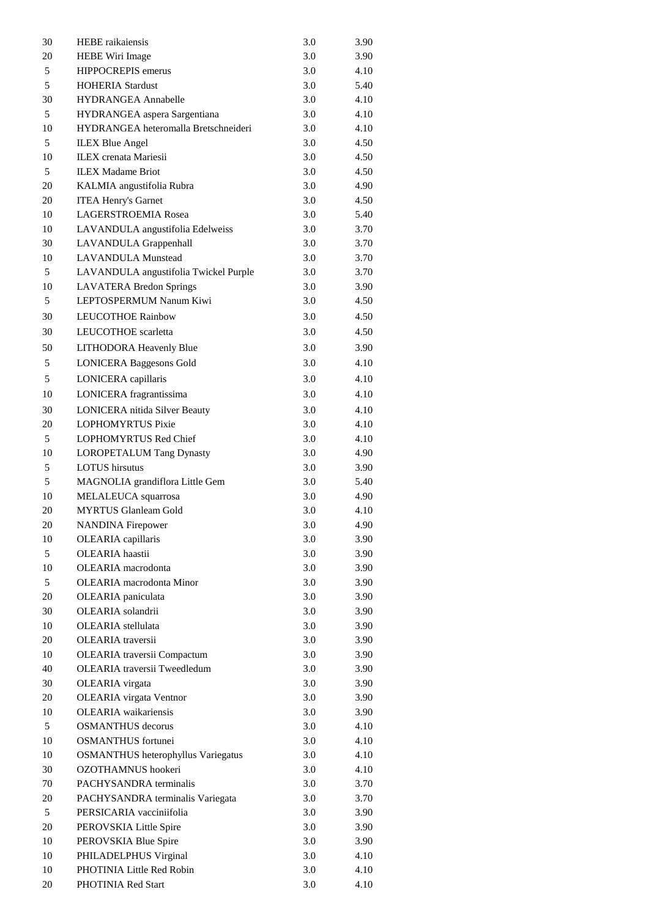| 30 | <b>HEBE</b> raikaiensis                   | 3.0 | 3.90 |
|----|-------------------------------------------|-----|------|
| 20 | <b>HEBE Wiri Image</b>                    | 3.0 | 3.90 |
| 5  | <b>HIPPOCREPIS</b> emerus                 | 3.0 | 4.10 |
| 5  | <b>HOHERIA Stardust</b>                   | 3.0 | 5.40 |
| 30 | <b>HYDRANGEA Annabelle</b>                | 3.0 | 4.10 |
| 5  | HYDRANGEA aspera Sargentiana              | 3.0 | 4.10 |
| 10 | HYDRANGEA heteromalla Bretschneideri      | 3.0 | 4.10 |
| 5  | <b>ILEX Blue Angel</b>                    | 3.0 | 4.50 |
| 10 | <b>ILEX</b> crenata Mariesii              | 3.0 | 4.50 |
| 5  | <b>ILEX Madame Briot</b>                  | 3.0 | 4.50 |
| 20 | KALMIA angustifolia Rubra                 | 3.0 | 4.90 |
| 20 | <b>ITEA Henry's Garnet</b>                | 3.0 | 4.50 |
| 10 | <b>LAGERSTROEMIA Rosea</b>                | 3.0 | 5.40 |
| 10 | LAVANDULA angustifolia Edelweiss          | 3.0 | 3.70 |
| 30 | <b>LAVANDULA Grappenhall</b>              | 3.0 | 3.70 |
| 10 | <b>LAVANDULA Munstead</b>                 | 3.0 | 3.70 |
| 5  | LAVANDULA angustifolia Twickel Purple     | 3.0 | 3.70 |
| 10 | <b>LAVATERA Bredon Springs</b>            | 3.0 | 3.90 |
| 5  | LEPTOSPERMUM Nanum Kiwi                   | 3.0 | 4.50 |
| 30 | <b>LEUCOTHOE Rainbow</b>                  | 3.0 | 4.50 |
|    |                                           |     |      |
| 30 | LEUCOTHOE scarletta                       | 3.0 | 4.50 |
| 50 | <b>LITHODORA Heavenly Blue</b>            | 3.0 | 3.90 |
| 5  | <b>LONICERA Baggesons Gold</b>            | 3.0 | 4.10 |
| 5  | LONICERA capillaris                       | 3.0 | 4.10 |
| 10 | LONICERA fragrantissima                   | 3.0 | 4.10 |
| 30 | <b>LONICERA</b> nitida Silver Beauty      | 3.0 | 4.10 |
| 20 | <b>LOPHOMYRTUS Pixie</b>                  | 3.0 | 4.10 |
| 5  | <b>LOPHOMYRTUS Red Chief</b>              | 3.0 | 4.10 |
| 10 | <b>LOROPETALUM Tang Dynasty</b>           | 3.0 | 4.90 |
| 5  | <b>LOTUS</b> hirsutus                     | 3.0 | 3.90 |
| 5  | MAGNOLIA grandiflora Little Gem           | 3.0 | 5.40 |
| 10 | MELALEUCA squarrosa                       | 3.0 | 4.90 |
| 20 | <b>MYRTUS Glanleam Gold</b>               | 3.0 | 4.10 |
| 20 | <b>NANDINA Firepower</b>                  | 3.0 | 4.90 |
| 10 | <b>OLEARIA</b> capillaris                 | 3.0 | 3.90 |
| 5  | OLEARIA haastii                           | 3.0 | 3.90 |
| 10 | <b>OLEARIA</b> macrodonta                 | 3.0 | 3.90 |
| 5  | <b>OLEARIA</b> macrodonta Minor           | 3.0 | 3.90 |
| 20 | OLEARIA paniculata                        | 3.0 | 3.90 |
| 30 | <b>OLEARIA</b> solandrii                  | 3.0 | 3.90 |
| 10 | <b>OLEARIA</b> stellulata                 | 3.0 | 3.90 |
| 20 | <b>OLEARIA</b> traversii                  | 3.0 | 3.90 |
| 10 | <b>OLEARIA</b> traversii Compactum        | 3.0 | 3.90 |
| 40 | <b>OLEARIA</b> traversii Tweedledum       | 3.0 | 3.90 |
| 30 | <b>OLEARIA</b> virgata                    | 3.0 | 3.90 |
| 20 | <b>OLEARIA</b> virgata Ventnor            | 3.0 | 3.90 |
| 10 | <b>OLEARIA</b> waikariensis               | 3.0 | 3.90 |
| 5  | <b>OSMANTHUS</b> decorus                  | 3.0 | 4.10 |
| 10 | <b>OSMANTHUS</b> fortunei                 | 3.0 | 4.10 |
| 10 | <b>OSMANTHUS</b> heterophyllus Variegatus | 3.0 | 4.10 |
| 30 | OZOTHAMNUS hookeri                        | 3.0 | 4.10 |
| 70 | PACHYSANDRA terminalis                    | 3.0 | 3.70 |
|    |                                           |     |      |
| 20 | PACHYSANDRA terminalis Variegata          | 3.0 | 3.70 |
| 5  | PERSICARIA vacciniifolia                  | 3.0 | 3.90 |
| 20 | PEROVSKIA Little Spire                    | 3.0 | 3.90 |
| 10 | PEROVSKIA Blue Spire                      | 3.0 | 3.90 |
| 10 | PHILADELPHUS Virginal                     | 3.0 | 4.10 |
| 10 | <b>PHOTINIA Little Red Robin</b>          | 3.0 | 4.10 |
| 20 | PHOTINIA Red Start                        | 3.0 | 4.10 |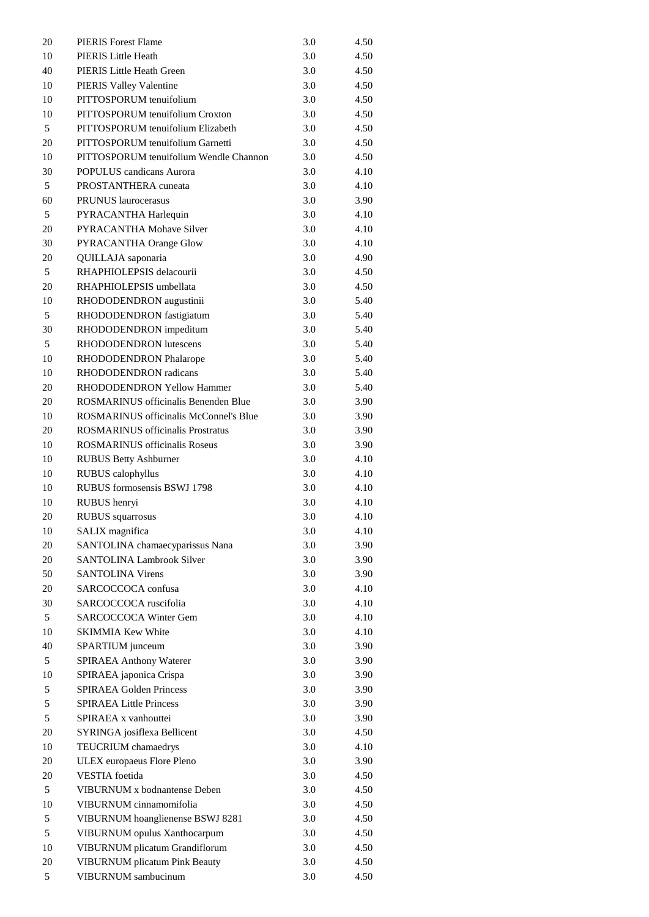| 20       | <b>PIERIS</b> Forest Flame                                                                | 3.0        | 4.50         |
|----------|-------------------------------------------------------------------------------------------|------------|--------------|
| 10       | <b>PIERIS Little Heath</b>                                                                | 3.0        | 4.50         |
| 40       | <b>PIERIS Little Heath Green</b>                                                          | 3.0        | 4.50         |
| 10       | <b>PIERIS Valley Valentine</b>                                                            | 3.0        | 4.50         |
| 10       | PITTOSPORUM tenuifolium                                                                   | 3.0        | 4.50         |
| 10       | <b>PITTOSPORUM</b> tenuifolium Croxton                                                    | 3.0        | 4.50         |
| 5        | PITTOSPORUM tenuifolium Elizabeth                                                         | 3.0        | 4.50         |
| 20       | PITTOSPORUM tenuifolium Garnetti                                                          | 3.0        | 4.50         |
| 10       | PITTOSPORUM tenuifolium Wendle Channon                                                    | 3.0        | 4.50         |
| 30       | <b>POPULUS</b> candicans Aurora                                                           | 3.0        | 4.10         |
| 5        | <b>PROSTANTHERA</b> cuneata                                                               | 3.0        | 4.10         |
| 60       | <b>PRUNUS</b> laurocerasus                                                                | 3.0        | 3.90         |
| 5        | PYRACANTHA Harlequin                                                                      | 3.0        | 4.10         |
| 20       | <b>PYRACANTHA Mohave Silver</b>                                                           | 3.0        | 4.10         |
| 30       | <b>PYRACANTHA Orange Glow</b>                                                             | 3.0        | 4.10         |
| 20       | QUILLAJA saponaria                                                                        | 3.0        | 4.90         |
| 5        | RHAPHIOLEPSIS delacourii                                                                  | 3.0        | 4.50         |
| 20       | RHAPHIOLEPSIS umbellata                                                                   | 3.0        | 4.50         |
| 10       | RHODODENDRON augustinii                                                                   | 3.0        | 5.40         |
| 5        | RHODODENDRON fastigiatum                                                                  | 3.0        | 5.40         |
| 30       | RHODODENDRON impeditum                                                                    | 3.0        | 5.40         |
| 5        | <b>RHODODENDRON</b> lutescens                                                             | 3.0        | 5.40         |
| 10       | <b>RHODODENDRON Phalarope</b>                                                             | 3.0        | 5.40         |
| 10       | <b>RHODODENDRON</b> radicans                                                              | 3.0        | 5.40         |
| 20       | <b>RHODODENDRON Yellow Hammer</b>                                                         | 3.0        | 5.40         |
| 20       | <b>ROSMARINUS</b> officinalis Benenden Blue                                               | 3.0        |              |
|          |                                                                                           |            | 3.90         |
| 10<br>20 | <b>ROSMARINUS</b> officinalis McConnel's Blue<br><b>ROSMARINUS</b> officinalis Prostratus | 3.0<br>3.0 | 3.90<br>3.90 |
| 10       | <b>ROSMARINUS</b> officinalis Roseus                                                      | 3.0        |              |
|          |                                                                                           |            | 3.90         |
| 10<br>10 | <b>RUBUS Betty Ashburner</b>                                                              | 3.0<br>3.0 | 4.10<br>4.10 |
| 10       | <b>RUBUS</b> calophyllus<br><b>RUBUS</b> formosensis BSWJ 1798                            | 3.0        | 4.10         |
| 10       |                                                                                           | 3.0        | 4.10         |
| 20       | RUBUS henryi<br><b>RUBUS</b> squarrosus                                                   | 3.0        | 4.10         |
| 10       | <b>SALIX</b> magnifica                                                                    | 3.0        | 4.10         |
| 20       | SANTOLINA chamaecyparissus Nana                                                           | 3.0        | 3.90         |
| 20       | <b>SANTOLINA Lambrook Silver</b>                                                          | 3.0        | 3.90         |
| 50       | <b>SANTOLINA Virens</b>                                                                   | 3.0        | 3.90         |
|          |                                                                                           |            |              |
| 20       | SARCOCCOCA confusa                                                                        | 3.0        | 4.10         |
| 30       | SARCOCCOCA ruscifolia                                                                     | 3.0        | 4.10         |
| 5        | <b>SARCOCCOCA Winter Gem</b>                                                              | 3.0        | 4.10         |
| 10       | <b>SKIMMIA Kew White</b>                                                                  | 3.0        | 4.10         |
| 40       | SPARTIUM junceum                                                                          | 3.0        | 3.90         |
| 5        | <b>SPIRAEA Anthony Waterer</b>                                                            | 3.0        | 3.90         |
| 10       | SPIRAEA japonica Crispa                                                                   | 3.0        | 3.90         |
| 5        | <b>SPIRAEA Golden Princess</b>                                                            | 3.0        | 3.90         |
| 5        | <b>SPIRAEA Little Princess</b>                                                            | 3.0        | 3.90         |
| 5        | SPIRAEA x vanhouttei                                                                      | 3.0        | 3.90         |
| 20       | <b>SYRINGA</b> josiflexa Bellicent                                                        | 3.0        | 4.50         |
| 10       | <b>TEUCRIUM</b> chamaedrys                                                                | 3.0        | 4.10         |
| 20       | <b>ULEX</b> europaeus Flore Pleno                                                         | 3.0        | 3.90         |
| 20       | <b>VESTIA</b> foetida                                                                     | 3.0        | 4.50         |
| 5        | <b>VIBURNUM x bodnantense Deben</b>                                                       | 3.0        | 4.50         |
| 10       | VIBURNUM cinnamomifolia                                                                   | 3.0        | 4.50         |
| 5        | <b>VIBURNUM</b> hoanglienense BSWJ 8281                                                   | 3.0        | 4.50         |
| 5        | <b>VIBURNUM</b> opulus Xanthocarpum                                                       | 3.0        | 4.50         |
| 10       | <b>VIBURNUM</b> plicatum Grandiflorum                                                     | 3.0        | 4.50         |
| 20       | <b>VIBURNUM</b> plicatum Pink Beauty                                                      | 3.0        | 4.50         |
| 5        | <b>VIBURNUM</b> sambucinum                                                                | 3.0        | 4.50         |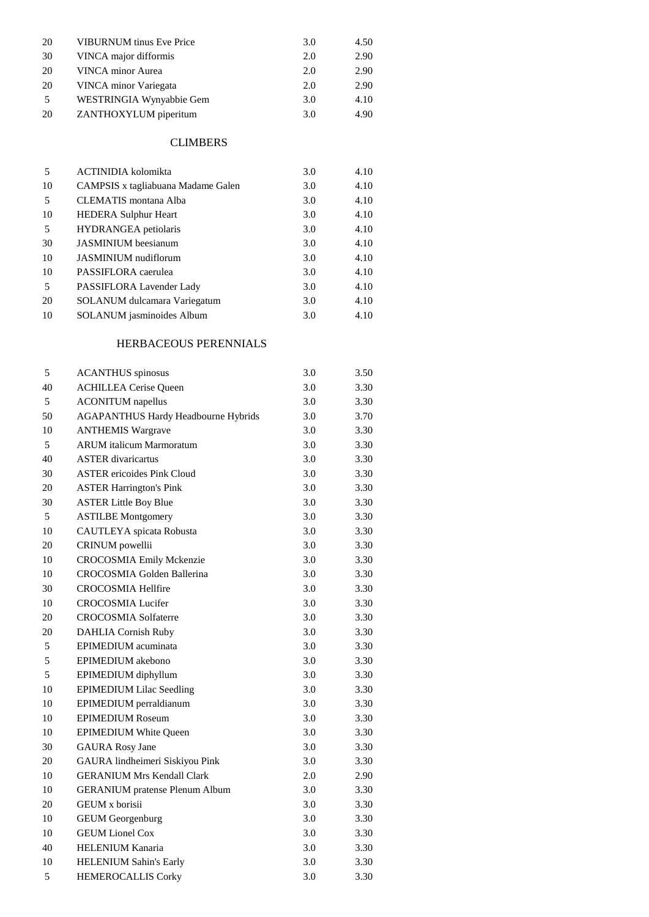| 20        | <b>VIBURNUM</b> tinus Eve Price | 3.0 | 4.50 |
|-----------|---------------------------------|-----|------|
| 30        | VINCA major difformis           | 2.0 | 2.90 |
| 20        | <b>VINCA</b> minor Aurea        | 2.0 | 2.90 |
| 20        | <b>VINCA</b> minor Variegata    | 2.0 | 2.90 |
| 5         | WESTRINGIA Wynyabbie Gem        | 3.0 | 4.10 |
| <b>20</b> | ZANTHOXYLUM piperitum           | 3.0 | 4.90 |

### **CLIMBERS**

| 5  | <b>ACTINIDIA</b> kolomikta                | 3.0 | 4.10 |
|----|-------------------------------------------|-----|------|
| 10 | <b>CAMPSIS</b> x tagliabuana Madame Galen | 3.0 | 4.10 |
| 5  | <b>CLEMATIS</b> montana Alba              | 3.0 | 4.10 |
| 10 | <b>HEDERA Sulphur Heart</b>               | 3.0 | 4.10 |
| 5  | <b>HYDRANGEA</b> petiolaris               | 3.0 | 4.10 |
| 30 | <b>JASMINIUM</b> beesianum                | 3.0 | 4.10 |
| 10 | <b>JASMINIUM</b> nudiflorum               | 3.0 | 4.10 |
| 10 | PASSIFLORA caerulea                       | 3.0 | 4.10 |
| 5  | PASSIFLORA Lavender Lady                  | 3.0 | 4.10 |
| 20 | <b>SOLANUM</b> dulcamara Variegatum       | 3.0 | 4.10 |
| 10 | <b>SOLANUM</b> jasminoides Album          | 3.0 | 4.10 |

## HERBACEOUS PERENNIALS

| 5  | <b>ACANTHUS</b> spinosus                   | 3.0 | 3.50 |
|----|--------------------------------------------|-----|------|
| 40 | <b>ACHILLEA Cerise Queen</b>               | 3.0 | 3.30 |
| 5  | <b>ACONITUM</b> napellus                   | 3.0 | 3.30 |
| 50 | <b>AGAPANTHUS Hardy Headbourne Hybrids</b> | 3.0 | 3.70 |
| 10 | <b>ANTHEMIS Wargrave</b>                   | 3.0 | 3.30 |
| 5  | <b>ARUM</b> italicum Marmoratum            | 3.0 | 3.30 |
| 40 | <b>ASTER</b> divaricartus                  | 3.0 | 3.30 |
| 30 | <b>ASTER</b> ericoides Pink Cloud          | 3.0 | 3.30 |
| 20 | <b>ASTER Harrington's Pink</b>             | 3.0 | 3.30 |
| 30 | <b>ASTER Little Boy Blue</b>               | 3.0 | 3.30 |
| 5  | <b>ASTILBE Montgomery</b>                  | 3.0 | 3.30 |
| 10 | <b>CAUTLEYA</b> spicata Robusta            | 3.0 | 3.30 |
| 20 | <b>CRINUM</b> powellii                     | 3.0 | 3.30 |
| 10 | <b>CROCOSMIA Emily Mckenzie</b>            | 3.0 | 3.30 |
| 10 | <b>CROCOSMIA Golden Ballerina</b>          | 3.0 | 3.30 |
| 30 | <b>CROCOSMIA Hellfire</b>                  | 3.0 | 3.30 |
| 10 | <b>CROCOSMIA Lucifer</b>                   | 3.0 | 3.30 |
| 20 | <b>CROCOSMIA Solfaterre</b>                | 3.0 | 3.30 |
| 20 | <b>DAHLIA Cornish Ruby</b>                 | 3.0 | 3.30 |
| 5  | <b>EPIMEDIUM</b> acuminata                 | 3.0 | 3.30 |
| 5  | <b>EPIMEDIUM</b> akebono                   | 3.0 | 3.30 |
| 5  | EPIMEDIUM diphyllum                        | 3.0 | 3.30 |
| 10 | <b>EPIMEDIUM Lilac Seedling</b>            | 3.0 | 3.30 |
| 10 | <b>EPIMEDIUM</b> perraldianum              | 3.0 | 3.30 |
| 10 | <b>EPIMEDIUM Roseum</b>                    | 3.0 | 3.30 |
| 10 | <b>EPIMEDIUM White Queen</b>               | 3.0 | 3.30 |
| 30 | <b>GAURA</b> Rosy Jane                     | 3.0 | 3.30 |
| 20 | GAURA lindheimeri Siskiyou Pink            | 3.0 | 3.30 |
| 10 | <b>GERANIUM Mrs Kendall Clark</b>          | 2.0 | 2.90 |
| 10 | <b>GERANIUM</b> pratense Plenum Album      | 3.0 | 3.30 |
| 20 | GEUM x borisii                             | 3.0 | 3.30 |
| 10 | <b>GEUM Georgenburg</b>                    | 3.0 | 3.30 |
| 10 | <b>GEUM Lionel Cox</b>                     | 3.0 | 3.30 |
| 40 | <b>HELENIUM Kanaria</b>                    | 3.0 | 3.30 |
| 10 | <b>HELENIUM Sahin's Early</b>              | 3.0 | 3.30 |
| 5  | <b>HEMEROCALLIS Corky</b>                  | 3.0 | 3.30 |